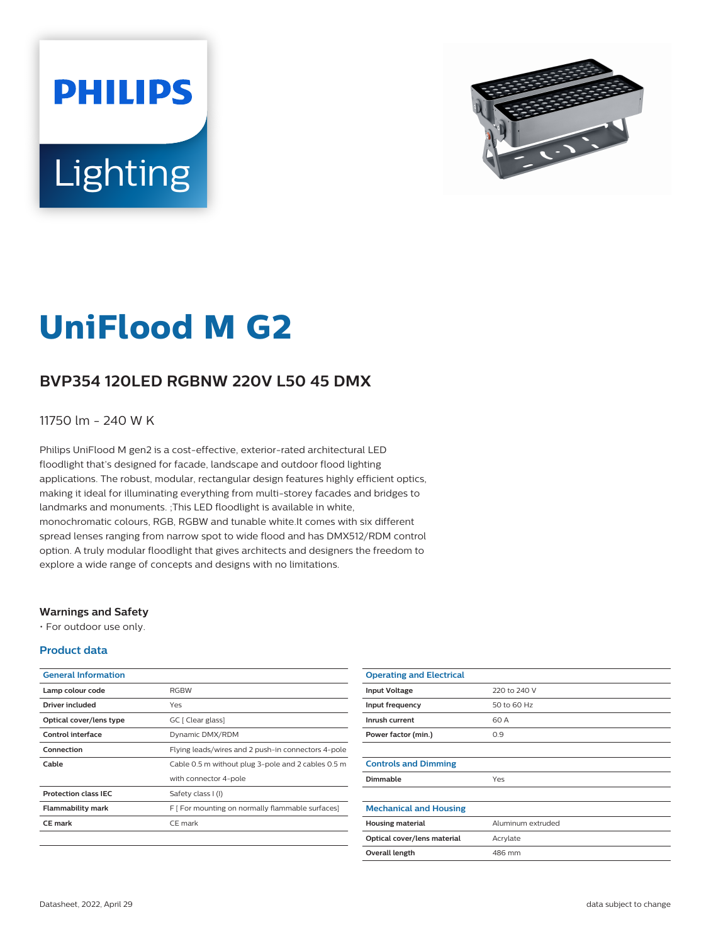



# **UniFlood M G2**

# **BVP354 120LED RGBNW 220V L50 45 DMX**

### 11750 lm - 240 W K

Philips UniFlood M gen2 is a cost-effective, exterior-rated architectural LED floodlight that's designed for facade, landscape and outdoor flood lighting applications. The robust, modular, rectangular design features highly efficient optics, making it ideal for illuminating everything from multi-storey facades and bridges to landmarks and monuments. ;This LED floodlight is available in white, monochromatic colours, RGB, RGBW and tunable white.It comes with six different spread lenses ranging from narrow spot to wide flood and has DMX512/RDM control option. A truly modular floodlight that gives architects and designers the freedom to explore a wide range of concepts and designs with no limitations.

#### **Warnings and Safety**

• For outdoor use only.

#### **Product data**

| <b>General Information</b>  |                                                    |
|-----------------------------|----------------------------------------------------|
| Lamp colour code            | <b>RGBW</b>                                        |
| Driver included             | Yes                                                |
| Optical cover/lens type     | GC [ Clear glass]                                  |
| Control interface           | Dynamic DMX/RDM                                    |
| Connection                  | Flying leads/wires and 2 push-in connectors 4-pole |
| Cable                       | Cable 0.5 m without plug 3-pole and 2 cables 0.5 m |
|                             | with connector 4-pole                              |
| <b>Protection class IEC</b> | Safety class I (I)                                 |
| <b>Flammability mark</b>    | F [ For mounting on normally flammable surfaces]   |
| <b>CE</b> mark              | CE mark                                            |
|                             |                                                    |

| <b>Operating and Electrical</b> |                   |
|---------------------------------|-------------------|
| <b>Input Voltage</b>            | 220 to 240 V      |
| Input frequency                 | 50 to 60 Hz       |
| Inrush current                  | 60 A              |
| Power factor (min.)             | 0.9               |
|                                 |                   |
| <b>Controls and Dimming</b>     |                   |
| <b>Dimmable</b>                 | Yes               |
|                                 |                   |
| <b>Mechanical and Housing</b>   |                   |
| <b>Housing material</b>         | Aluminum extruded |
| Optical cover/lens material     | Acrylate          |
| Overall length                  | 486 mm            |
|                                 |                   |